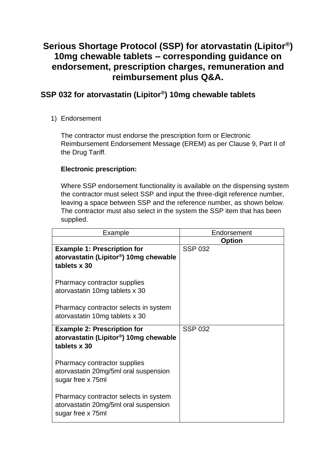# **Serious Shortage Protocol (SSP) for atorvastatin (Lipitor®) 10mg chewable tablets – corresponding guidance on endorsement, prescription charges, remuneration and reimbursement plus Q&A.**

## **SSP 032 for atorvastatin (Lipitor® ) 10mg chewable tablets**

## 1) Endorsement

The contractor must endorse the prescription form or Electronic Reimbursement Endorsement Message (EREM) as per Clause 9, Part II of the Drug Tariff.

## **Electronic prescription:**

Where SSP endorsement functionality is available on the dispensing system the contractor must select SSP and input the three-digit reference number, leaving a space between SSP and the reference number, as shown below. The contractor must also select in the system the SSP item that has been supplied.

| Example                                            | Endorsement    |
|----------------------------------------------------|----------------|
|                                                    | <b>Option</b>  |
| <b>Example 1: Prescription for</b>                 | <b>SSP 032</b> |
| atorvastatin (Lipitor <sup>®</sup> ) 10mg chewable |                |
| tablets x 30                                       |                |
|                                                    |                |
| Pharmacy contractor supplies                       |                |
| atorvastatin 10mg tablets x 30                     |                |
|                                                    |                |
| Pharmacy contractor selects in system              |                |
| atorvastatin 10mg tablets x 30                     |                |
|                                                    |                |
| <b>Example 2: Prescription for</b>                 | <b>SSP 032</b> |
| atorvastatin (Lipitor <sup>®</sup> ) 10mg chewable |                |
| tablets x 30                                       |                |
|                                                    |                |
| Pharmacy contractor supplies                       |                |
| atorvastatin 20mg/5ml oral suspension              |                |
| sugar free x 75ml                                  |                |
|                                                    |                |
| Pharmacy contractor selects in system              |                |
| atorvastatin 20mg/5ml oral suspension              |                |
| sugar free x 75ml                                  |                |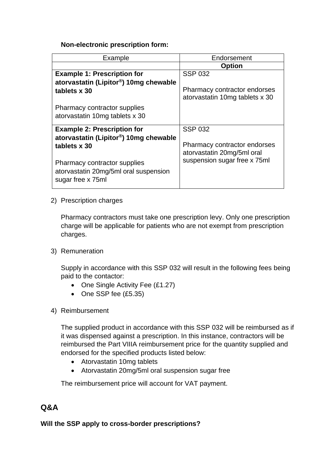### **Non-electronic prescription form:**

| Example                                                                                           | Endorsement                                                    |
|---------------------------------------------------------------------------------------------------|----------------------------------------------------------------|
|                                                                                                   | <b>Option</b>                                                  |
| <b>Example 1: Prescription for</b>                                                                | <b>SSP 032</b>                                                 |
| atorvastatin (Lipitor®) 10mg chewable<br>tablets x 30                                             | Pharmacy contractor endorses<br>atorvastatin 10mg tablets x 30 |
| <b>Pharmacy contractor supplies</b>                                                               |                                                                |
| atorvastatin 10mg tablets x 30                                                                    |                                                                |
| <b>Example 2: Prescription for</b>                                                                | <b>SSP 032</b>                                                 |
| atorvastatin (Lipitor <sup>®</sup> ) 10mg chewable                                                |                                                                |
| tablets x 30                                                                                      | Pharmacy contractor endorses<br>atorvastatin 20mg/5ml oral     |
| <b>Pharmacy contractor supplies</b><br>atorvastatin 20mg/5ml oral suspension<br>sugar free x 75ml | suspension sugar free x 75ml                                   |

2) Prescription charges

Pharmacy contractors must take one prescription levy. Only one prescription charge will be applicable for patients who are not exempt from prescription charges.

3) Remuneration

Supply in accordance with this SSP 032 will result in the following fees being paid to the contactor:

- One Single Activity Fee (£1.27)
- One SSP fee (£5.35)
- 4) Reimbursement

The supplied product in accordance with this SSP 032 will be reimbursed as if it was dispensed against a prescription. In this instance, contractors will be reimbursed the Part VIIIA reimbursement price for the quantity supplied and endorsed for the specified products listed below:

- Atorvastatin 10mg tablets
- Atorvastatin 20mg/5ml oral suspension sugar free

The reimbursement price will account for VAT payment.

## **Q&A**

## **Will the SSP apply to cross-border prescriptions?**